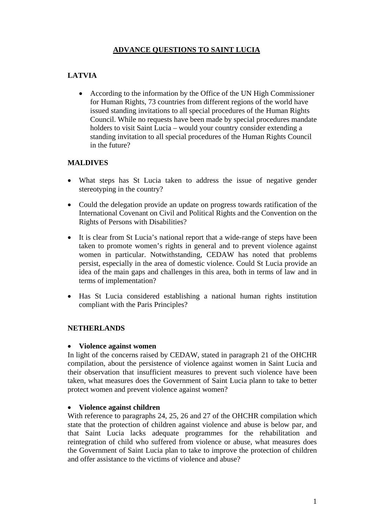## **ADVANCE QUESTIONS TO SAINT LUCIA**

# **LATVIA**

• According to the information by the Office of the UN High Commissioner for Human Rights, 73 countries from different regions of the world have issued standing invitations to all special procedures of the Human Rights Council. While no requests have been made by special procedures mandate holders to visit Saint Lucia – would your country consider extending a standing invitation to all special procedures of the Human Rights Council in the future?

#### **MALDIVES**

- What steps has St Lucia taken to address the issue of negative gender stereotyping in the country?
- Could the delegation provide an update on progress towards ratification of the International Covenant on Civil and Political Rights and the Convention on the Rights of Persons with Disabilities?
- It is clear from St Lucia's national report that a wide-range of steps have been taken to promote women's rights in general and to prevent violence against women in particular. Notwithstanding, CEDAW has noted that problems persist, especially in the area of domestic violence. Could St Lucia provide an idea of the main gaps and challenges in this area, both in terms of law and in terms of implementation?
- Has St Lucia considered establishing a national human rights institution compliant with the Paris Principles?

#### **NETHERLANDS**

#### • **Violence against women**

In light of the concerns raised by CEDAW, stated in paragraph 21 of the OHCHR compilation, about the persistence of violence against women in Saint Lucia and their observation that insufficient measures to prevent such violence have been taken, what measures does the Government of Saint Lucia plann to take to better protect women and prevent violence against women?

#### • **Violence against children**

With reference to paragraphs 24, 25, 26 and 27 of the OHCHR compilation which state that the protection of children against violence and abuse is below par, and that Saint Lucia lacks adequate programmes for the rehabilitation and reintegration of child who suffered from violence or abuse, what measures does the Government of Saint Lucia plan to take to improve the protection of children and offer assistance to the victims of violence and abuse?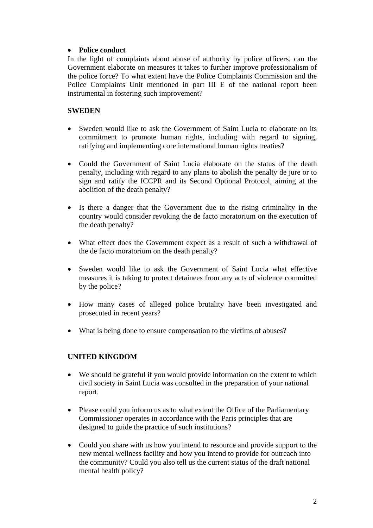#### • **Police conduct**

In the light of complaints about abuse of authority by police officers, can the Government elaborate on measures it takes to further improve professionalism of the police force? To what extent have the Police Complaints Commission and the Police Complaints Unit mentioned in part III E of the national report been instrumental in fostering such improvement?

### **SWEDEN**

- Sweden would like to ask the Government of Saint Lucia to elaborate on its commitment to promote human rights, including with regard to signing, ratifying and implementing core international human rights treaties?
- Could the Government of Saint Lucia elaborate on the status of the death penalty, including with regard to any plans to abolish the penalty de jure or to sign and ratify the ICCPR and its Second Optional Protocol, aiming at the abolition of the death penalty?
- Is there a danger that the Government due to the rising criminality in the country would consider revoking the de facto moratorium on the execution of the death penalty?
- What effect does the Government expect as a result of such a withdrawal of the de facto moratorium on the death penalty?
- Sweden would like to ask the Government of Saint Lucia what effective measures it is taking to protect detainees from any acts of violence committed by the police?
- How many cases of alleged police brutality have been investigated and prosecuted in recent years?
- What is being done to ensure compensation to the victims of abuses?

#### **UNITED KINGDOM**

- We should be grateful if you would provide information on the extent to which civil society in Saint Lucia was consulted in the preparation of your national report.
- Please could you inform us as to what extent the Office of the Parliamentary Commissioner operates in accordance with the Paris principles that are designed to guide the practice of such institutions?
- Could you share with us how you intend to resource and provide support to the new mental wellness facility and how you intend to provide for outreach into the community? Could you also tell us the current status of the draft national mental health policy?